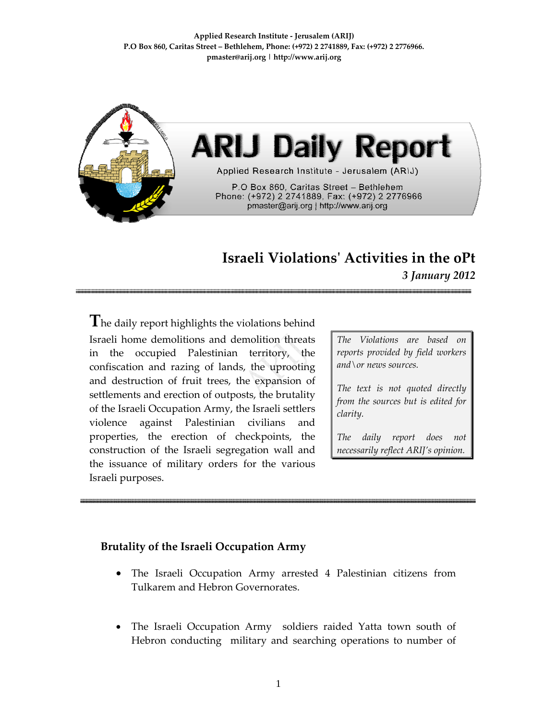**Applied Research Institute ‐ Jerusalem (ARIJ) P.O Box 860, Caritas Street – Bethlehem, Phone: (+972) 2 2741889, Fax: (+972) 2 2776966. pmaster@arij.org | http://www.arij.org**



## **Israeli Violationsʹ Activities in the oPt** *3 January 2012*

**T**he daily report highlights the violations behind Israeli home demolitions and demolition threats in the occupied Palestinian territory, the confiscation and razing of lands, the uprooting and destruction of fruit trees, the expansion of settlements and erection of outposts, the brutality of the Israeli Occupation Army, the Israeli settlers violence against Palestinian civilians and properties, the erection of checkpoints, the construction of the Israeli segregation wall and the issuance of military orders for the various Israeli purposes.

*The Violations are based on reports provided by field workers and\or news sources.*

*The text is not quoted directly from the sources but is edited for clarity.*

*The daily report does not necessarily reflect ARIJ's opinion.*

## **Brutality of the Israeli Occupation Army**

- The Israeli Occupation Army arrested 4 Palestinian citizens from Tulkarem and Hebron Governorates.
- The Israeli Occupation Army soldiers raided Yatta town south of Hebron conducting military and searching operations to number of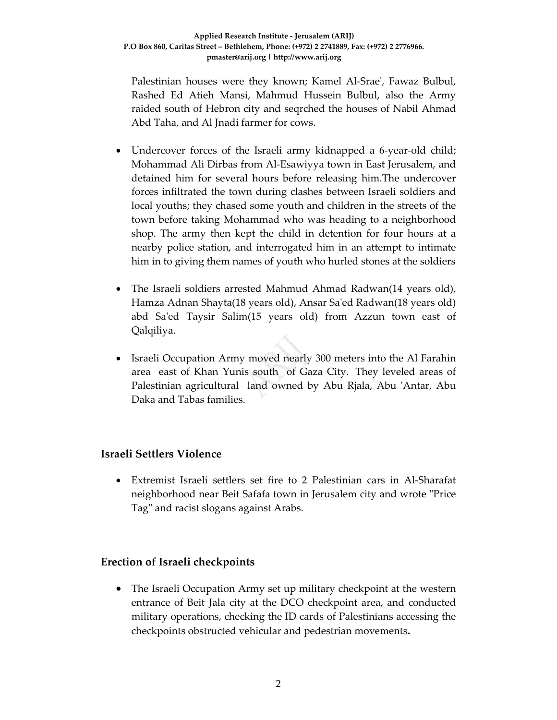Palestinian houses were they known; Kamel Al‐Sraeʹ, Fawaz Bulbul, Rashed Ed Atieh Mansi, Mahmud Hussein Bulbul, also the Army raided south of Hebron city and seqrched the houses of Nabil Ahmad Abd Taha, and Al Jnadi farmer for cows.

- Undercover forces of the Israeli army kidnapped a 6-year-old child; Mohammad Ali Dirbas from Al‐Esawiyya town in East Jerusalem, and detained him for several hours before releasing him.The undercover forces infiltrated the town during clashes between Israeli soldiers and local youths; they chased some youth and children in the streets of the town before taking Mohammad who was heading to a neighborhood shop. The army then kept the child in detention for four hours at a nearby police station, and interrogated him in an attempt to intimate him in to giving them names of youth who hurled stones at the soldiers
- The Israeli soldiers arrested Mahmud Ahmad Radwan(14 years old), Hamza Adnan Shayta(18 years old), Ansar Saʹed Radwan(18 years old) abd Saʹed Taysir Salim(15 years old) from Azzun town east of Qalqiliya.
- Israeli Occupation Army moved nearly 300 meters into the Al Farahin area east of Khan Yunis south of Gaza City. They leveled areas of Palestinian agricultural land owned by Abu Rjala, Abu 'Antar, Abu Daka and Tabas families.

## **Israeli Settlers Violence**

• Extremist Israeli settlers set fire to 2 Palestinian cars in Al‐Sharafat neighborhood near Beit Safafa town in Jerusalem city and wrote "Price Tag" and racist slogans against Arabs.

## **Erection of Israeli checkpoints**

• The Israeli Occupation Army set up military checkpoint at the western entrance of Beit Jala city at the DCO checkpoint area, and conducted military operations, checking the ID cards of Palestinians accessing the checkpoints obstructed vehicular and pedestrian movements**.**